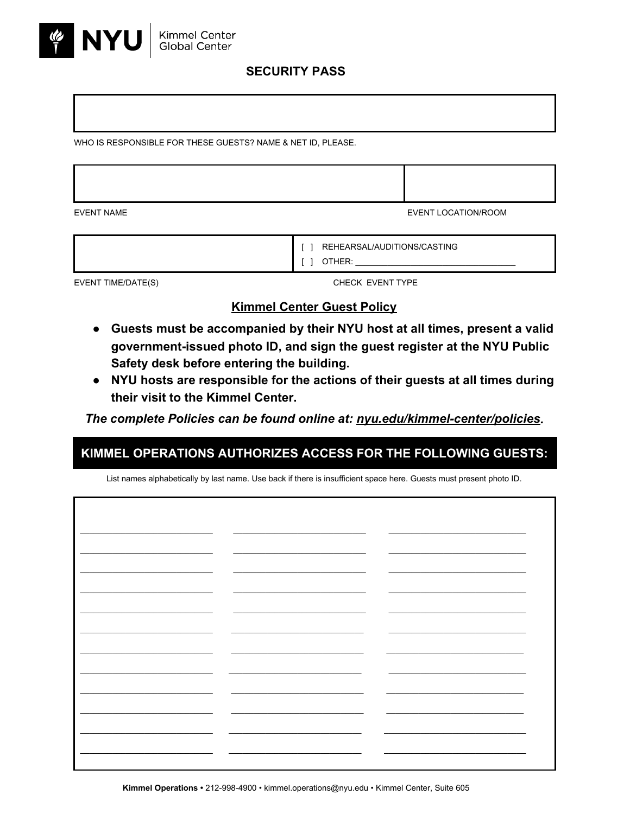

## **SECURITY PASS**

WHO IS RESPONSIBLE FOR THESE GUESTS? NAME & NET ID, PLEASE.

EVENT NAME EVENT LOCATION/ROOM

| REHEARSAL/AUDITIONS/CASTING |
|-----------------------------|
|                             |

EVENT TIME/DATE(S) THE CHECK EVENT TYPE

## **Kimmel Center Guest Policy**

- **● Guests must be accompanied by their NYU host at all times, present a valid governmentissued photo ID, and sign the guest register at the NYU Public Safety desk before entering the building.**
- **● NYU hosts are responsible for the actions of their guests at all times during their visit to the Kimmel Center.**

*The complete Policies can be found online at: nyu.edu/kimmel-center/policies.* 

## **KIMMEL OPERATIONS AUTHORIZES ACCESS FOR THE FOLLOWING GUESTS:**

List names alphabetically by last name. Use back if there is insufficient space here. Guests must present photo ID.

| $\sim$ $\sim$            |                          |                          |  |
|--------------------------|--------------------------|--------------------------|--|
|                          |                          |                          |  |
|                          |                          |                          |  |
|                          |                          |                          |  |
| $\overline{\phantom{0}}$ |                          |                          |  |
|                          |                          |                          |  |
|                          |                          |                          |  |
|                          |                          |                          |  |
|                          |                          |                          |  |
| $\overline{\phantom{0}}$ |                          | $\overline{\phantom{a}}$ |  |
|                          |                          |                          |  |
|                          |                          |                          |  |
|                          |                          |                          |  |
|                          |                          |                          |  |
|                          |                          | $\overline{\phantom{a}}$ |  |
|                          |                          |                          |  |
|                          |                          |                          |  |
|                          |                          |                          |  |
|                          |                          |                          |  |
|                          | $\overline{\phantom{0}}$ |                          |  |
|                          |                          |                          |  |
|                          |                          |                          |  |
|                          |                          |                          |  |
| -                        | -                        |                          |  |
|                          |                          |                          |  |
|                          |                          |                          |  |
|                          |                          |                          |  |
|                          |                          |                          |  |
| $\overline{\phantom{0}}$ | —                        |                          |  |
|                          |                          |                          |  |
|                          |                          |                          |  |
|                          |                          |                          |  |
|                          |                          |                          |  |
| __                       |                          |                          |  |
|                          |                          |                          |  |
|                          |                          |                          |  |
|                          |                          |                          |  |
|                          |                          |                          |  |
|                          |                          |                          |  |
|                          |                          |                          |  |
|                          |                          |                          |  |
|                          |                          |                          |  |
|                          |                          |                          |  |
|                          |                          |                          |  |
|                          |                          |                          |  |
|                          |                          |                          |  |
|                          |                          |                          |  |
|                          |                          |                          |  |
|                          |                          |                          |  |
|                          |                          |                          |  |
|                          |                          |                          |  |
|                          |                          |                          |  |